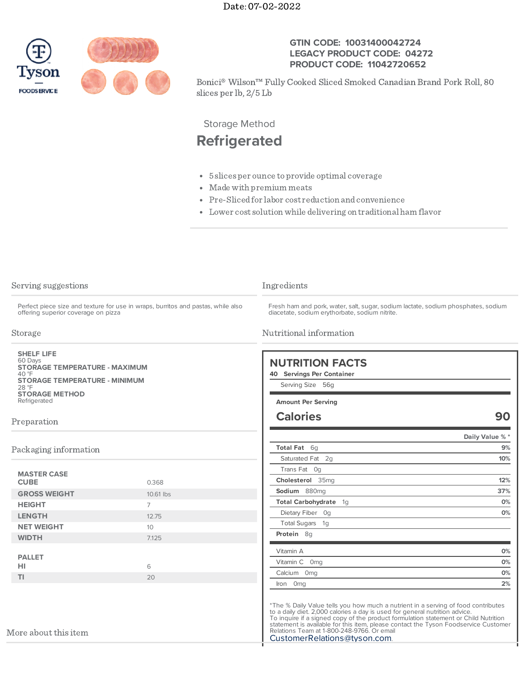

## **GTIN CODE: 10031400042724 LEGACY PRODUCT CODE: 04272 PRODUCT CODE: 11042720652**

Bonici® Wilson™ Fully Cooked Sliced Smoked Canadian Brand Pork Roll, 80 slices per lb, 2/5 Lb

Storage Method

## **Refrigerated**

- 5 slices per ounce toprovide optimal coverage
- Made with premium meats
- Pre-Slicedfor labor cost reduction andconvenience
- Lower cost solutionwhile delivering on traditional ham flavor

| Serving suggestions<br>Perfect piece size and texture for use in wraps, burritos and pastas, while also<br>offering superior coverage on pizza<br>Storage<br><b>SHELF LIFE</b><br>60 Days<br><b>STORAGE TEMPERATURE - MAXIMUM</b><br>$40°$ F<br><b>STORAGE TEMPERATURE - MINIMUM</b><br>28 °F<br><b>STORAGE METHOD</b><br>Refrigerated<br>Preparation |                 | Ingredients<br>Fresh ham and pork, water, salt, sugar, sodium lactate, sodium phosphates, sodium<br>diacetate, sodium erythorbate, sodium nitrite.<br>Nutritional information<br><b>NUTRITION FACTS</b><br>40 Servings Per Container<br>Serving Size 56g<br><b>Amount Per Serving</b><br><b>Calories</b><br>90                                                                                                                |     |                       |  |                  |                       |
|-------------------------------------------------------------------------------------------------------------------------------------------------------------------------------------------------------------------------------------------------------------------------------------------------------------------------------------------------------|-----------------|-------------------------------------------------------------------------------------------------------------------------------------------------------------------------------------------------------------------------------------------------------------------------------------------------------------------------------------------------------------------------------------------------------------------------------|-----|-----------------------|--|------------------|-----------------------|
|                                                                                                                                                                                                                                                                                                                                                       |                 |                                                                                                                                                                                                                                                                                                                                                                                                                               |     |                       |  |                  |                       |
|                                                                                                                                                                                                                                                                                                                                                       |                 |                                                                                                                                                                                                                                                                                                                                                                                                                               |     |                       |  | Total Fat 6q     | Daily Value % *<br>9% |
|                                                                                                                                                                                                                                                                                                                                                       |                 |                                                                                                                                                                                                                                                                                                                                                                                                                               |     | Packaging information |  | Saturated Fat 2q | 10%                   |
|                                                                                                                                                                                                                                                                                                                                                       |                 | Trans Fat Og                                                                                                                                                                                                                                                                                                                                                                                                                  |     |                       |  |                  |                       |
| <b>MASTER CASE</b><br><b>CUBE</b>                                                                                                                                                                                                                                                                                                                     | 0.368           | Cholesterol 35mg                                                                                                                                                                                                                                                                                                                                                                                                              | 12% |                       |  |                  |                       |
| <b>GROSS WEIGHT</b>                                                                                                                                                                                                                                                                                                                                   | 10.61 lbs       | Sodium 880mg                                                                                                                                                                                                                                                                                                                                                                                                                  | 37% |                       |  |                  |                       |
| <b>HEIGHT</b>                                                                                                                                                                                                                                                                                                                                         | $\overline{7}$  | Total Carbohydrate 1q                                                                                                                                                                                                                                                                                                                                                                                                         | 0%  |                       |  |                  |                       |
| <b>LENGTH</b>                                                                                                                                                                                                                                                                                                                                         | 12.75           | Dietary Fiber Og                                                                                                                                                                                                                                                                                                                                                                                                              | 0%  |                       |  |                  |                       |
| <b>NET WEIGHT</b>                                                                                                                                                                                                                                                                                                                                     | 10 <sup>1</sup> | Total Sugars 1g                                                                                                                                                                                                                                                                                                                                                                                                               |     |                       |  |                  |                       |
| <b>WIDTH</b>                                                                                                                                                                                                                                                                                                                                          | 7.125           | Protein 8q                                                                                                                                                                                                                                                                                                                                                                                                                    |     |                       |  |                  |                       |
|                                                                                                                                                                                                                                                                                                                                                       |                 | Vitamin A                                                                                                                                                                                                                                                                                                                                                                                                                     | 0%  |                       |  |                  |                       |
| <b>PALLET</b>                                                                                                                                                                                                                                                                                                                                         |                 | Vitamin C 0mg                                                                                                                                                                                                                                                                                                                                                                                                                 | 0%  |                       |  |                  |                       |
| HI                                                                                                                                                                                                                                                                                                                                                    | 6               | Calcium 0mg                                                                                                                                                                                                                                                                                                                                                                                                                   | 0%  |                       |  |                  |                       |
| TI.                                                                                                                                                                                                                                                                                                                                                   | 20              | Iron 0mg                                                                                                                                                                                                                                                                                                                                                                                                                      | 2%  |                       |  |                  |                       |
| More about this item                                                                                                                                                                                                                                                                                                                                  |                 | *The % Daily Value tells you how much a nutrient in a serving of food contributes<br>to a daily diet. 2,000 calories a day is used for general nutrition advice.<br>To inquire if a signed copy of the product formulation statement or Child Nutrition.<br>statement is available for this item, please contact the Tyson Foodservice Customer<br>Relations Team at 1-800-248-9766. Or email<br>CustomerRelations@tyson.com. |     |                       |  |                  |                       |